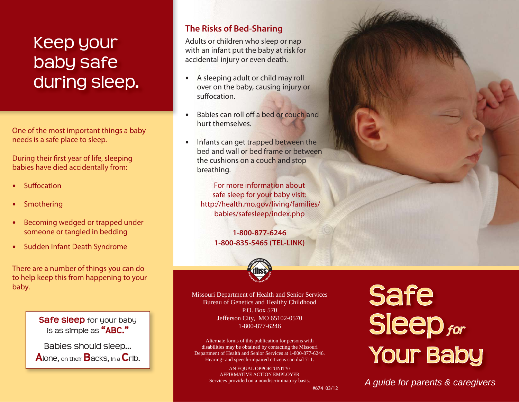### Keep your baby safe during sleep.

One of the most important things a baby needs is a safe place to sleep.

During their first year of life, sleeping babies have died accidentally from:

- **Suffocation**
- Smothering
- Becoming wedged or trapped under someone or tangled in bedding
- Sudden Infant Death Syndrome

There are a number of things you can do to help keep this from happening to your baby.

> **Safe sleep** for your baby is as simple as **"ABC."**

Babies should sleep... **A**lone, on their **B**acks, in a **C**rib.

### **The Risks of Bed-Sharing**

Adults or children who sleep or nap with an infant put the baby at risk for accidental injury or even death.

- A sleeping adult or child may roll over on the baby, causing injury or suffocation
- Babies can roll off a bed or couch and hurt themselves.
- Infants can get trapped between the bed and wall or bed frame or between the cushions on a couch and stop breathing.

For more information about safe sleep for your baby visit: http://health.mo.gov/living/families/ babies/safesleep/index.php

> **1-800-877-6246 1-800-835-5465 (TEL-LINK)**



Missouri Department of Health and Senior Services Bureau of Genetics and Healthy Childhood P.O. Box 570 Jefferson City, MO 65102-0570 1-800-877-6246

Alternate forms of this publication for persons with disabilities may be obtained by contacting the Missouri Department of Health and Senior Services at 1-800-877-6246. Hearing- and speech-impaired citizens can dial 711.

> AN EQUAL OPPORTUNITY/ AFFIRMATIVE ACTION EMPLOYER Services provided on a nondiscriminatory basis.

# Safe<br>Sleep *for* **Your Baby**

*A guide for parents & caregivers*